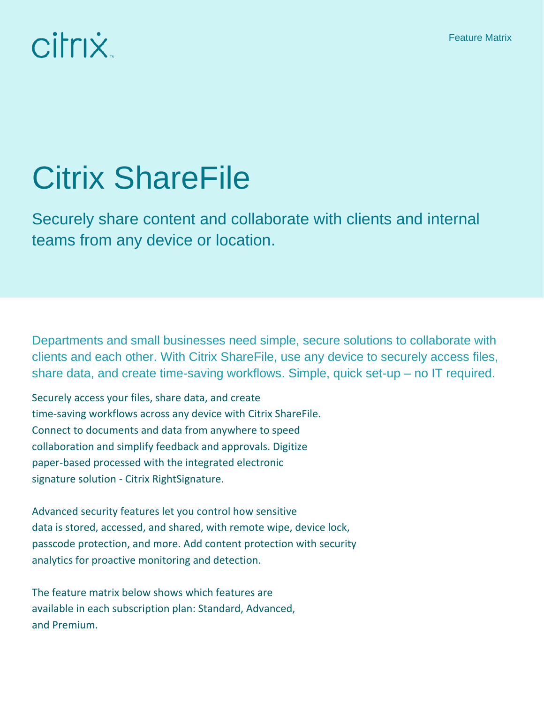## citrix.

## Citrix ShareFile

Securely share content and collaborate with clients and internal teams from any device or location.

Departments and small businesses need simple, secure solutions to collaborate with clients and each other. With Citrix ShareFile, use any device to securely access files, share data, and create time-saving workflows. Simple, quick set-up – no IT required.

Securely access your files, share data, and create time-saving workflows across any device with Citrix ShareFile. Connect to documents and data from anywhere to speed collaboration and simplify feedback and approvals. Digitize paper-based processed with the integrated electronic signature solution - Citrix RightSignature.

Advanced security features let you control how sensitive data is stored, accessed, and shared, with remote wipe, device lock, passcode protection, and more. Add content protection with security analytics for proactive monitoring and detection.

The feature matrix below shows which features are available in each subscription plan: Standard, Advanced, and Premium.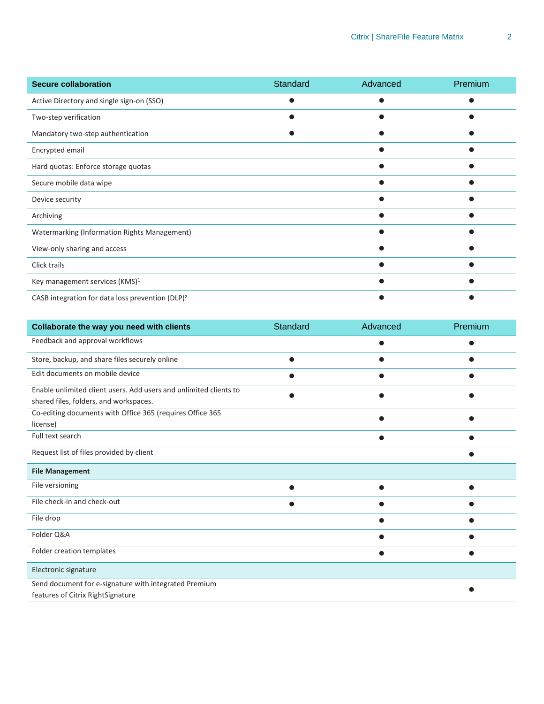| <b>Secure collaboration</b>                                  | Standard | Advanced | Premium |
|--------------------------------------------------------------|----------|----------|---------|
| Active Directory and single sign-on (SSO)                    |          |          |         |
| Two-step verification                                        |          |          |         |
| Mandatory two-step authentication                            |          |          |         |
| Encrypted email                                              |          |          |         |
| Hard quotas: Enforce storage quotas                          |          |          |         |
| Secure mobile data wipe                                      |          |          |         |
| Device security                                              |          |          |         |
| Archiving                                                    |          |          |         |
| Watermarking (Information Rights Management)                 |          |          |         |
| View-only sharing and access                                 |          |          |         |
| Click trails                                                 |          |          |         |
| Key management services (KMS) <sup>1</sup>                   |          |          |         |
| CASB integration for data loss prevention (DLP) <sup>2</sup> |          |          |         |

| Collaborate the way you need with clients                         | Standard | Advanced | Premium |
|-------------------------------------------------------------------|----------|----------|---------|
| Feedback and approval workflows                                   |          |          |         |
| Store, backup, and share files securely online                    |          |          |         |
| Edit documents on mobile device                                   |          |          |         |
| Enable unlimited client users. Add users and unlimited clients to |          |          |         |
| shared files, folders, and workspaces.                            |          |          |         |
| Co-editing documents with Office 365 (requires Office 365         |          |          |         |
| license)                                                          |          |          |         |
| Full text search                                                  |          |          |         |
| Request list of files provided by client                          |          |          |         |
| <b>File Management</b>                                            |          |          |         |
| File versioning                                                   |          |          |         |
| File check-in and check-out                                       |          |          |         |
| File drop                                                         |          |          |         |
| Folder Q&A                                                        |          |          |         |
| Folder creation templates                                         |          |          |         |
| Electronic signature                                              |          |          |         |
| Send document for e-signature with integrated Premium             |          |          |         |
| features of Citrix RightSignature                                 |          |          |         |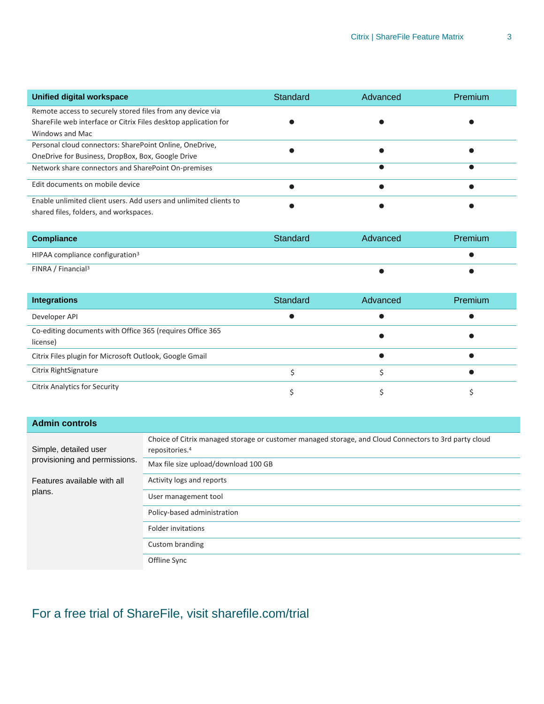| Unified digital workspace                                         | Standard | Advanced | Premium |
|-------------------------------------------------------------------|----------|----------|---------|
| Remote access to securely stored files from any device via        |          |          |         |
| Share File web interface or Citrix Files desktop application for  |          |          |         |
| Windows and Mac                                                   |          |          |         |
| Personal cloud connectors: SharePoint Online, OneDrive,           |          |          |         |
| OneDrive for Business, DropBox, Box, Google Drive                 |          |          |         |
| Network share connectors and SharePoint On-premises               |          |          |         |
| Edit documents on mobile device                                   |          |          |         |
| Enable unlimited client users. Add users and unlimited clients to |          |          |         |
| shared files, folders, and workspaces.                            |          |          |         |

| <b>Compliance</b>                           | Standard | Advanced | Premium |
|---------------------------------------------|----------|----------|---------|
| HIPAA compliance configuration <sup>3</sup> |          |          |         |
| FINRA / Financial <sup>3</sup>              |          |          |         |

| <b>Integrations</b>                                                   | Standard | Advanced | <b>Premium</b> |
|-----------------------------------------------------------------------|----------|----------|----------------|
| Developer API                                                         |          |          |                |
| Co-editing documents with Office 365 (requires Office 365<br>license) |          |          |                |
| Citrix Files plugin for Microsoft Outlook, Google Gmail               |          |          |                |
| Citrix RightSignature                                                 |          |          |                |
| <b>Citrix Analytics for Security</b>                                  |          |          |                |

| <b>Admin controls</b>                                  |                                                                                                                                     |
|--------------------------------------------------------|-------------------------------------------------------------------------------------------------------------------------------------|
| Simple, detailed user<br>provisioning and permissions. | Choice of Citrix managed storage or customer managed storage, and Cloud Connectors to 3rd party cloud<br>repositories. <sup>4</sup> |
|                                                        | Max file size upload/download 100 GB                                                                                                |
| Features available with all                            | Activity logs and reports                                                                                                           |
| plans.                                                 | User management tool                                                                                                                |
|                                                        | Policy-based administration                                                                                                         |
|                                                        | Folder invitations                                                                                                                  |
|                                                        | Custom branding                                                                                                                     |
|                                                        | Offline Sync                                                                                                                        |

## For a free trial of ShareFile, visit sharefile.com/trial